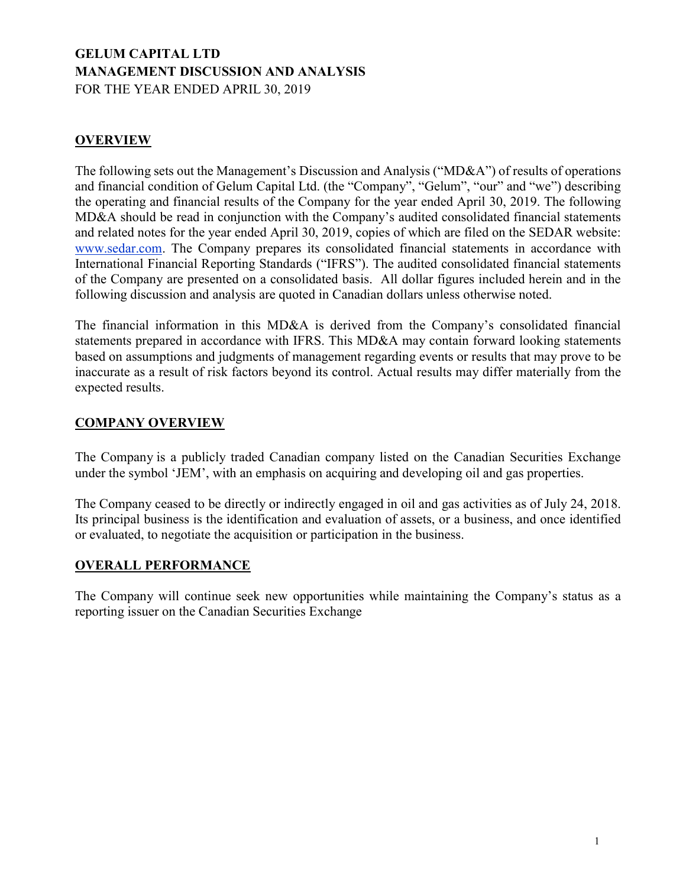# GELUM CAPITAL LTD MANAGEMENT DISCUSSION AND ANALYSIS FOR THE YEAR ENDED APRIL 30, 2019

# **OVERVIEW**

The following sets out the Management's Discussion and Analysis ("MD&A") of results of operations and financial condition of Gelum Capital Ltd. (the "Company", "Gelum", "our" and "we") describing the operating and financial results of the Company for the year ended April 30, 2019. The following MD&A should be read in conjunction with the Company's audited consolidated financial statements and related notes for the year ended April 30, 2019, copies of which are filed on the SEDAR website: www.sedar.com. The Company prepares its consolidated financial statements in accordance with International Financial Reporting Standards ("IFRS"). The audited consolidated financial statements of the Company are presented on a consolidated basis. All dollar figures included herein and in the following discussion and analysis are quoted in Canadian dollars unless otherwise noted.

The financial information in this MD&A is derived from the Company's consolidated financial statements prepared in accordance with IFRS. This MD&A may contain forward looking statements based on assumptions and judgments of management regarding events or results that may prove to be inaccurate as a result of risk factors beyond its control. Actual results may differ materially from the expected results.

## COMPANY OVERVIEW

The Company is a publicly traded Canadian company listed on the Canadian Securities Exchange under the symbol 'JEM', with an emphasis on acquiring and developing oil and gas properties.

The Company ceased to be directly or indirectly engaged in oil and gas activities as of July 24, 2018. Its principal business is the identification and evaluation of assets, or a business, and once identified or evaluated, to negotiate the acquisition or participation in the business.

## OVERALL PERFORMANCE

The Company will continue seek new opportunities while maintaining the Company's status as a reporting issuer on the Canadian Securities Exchange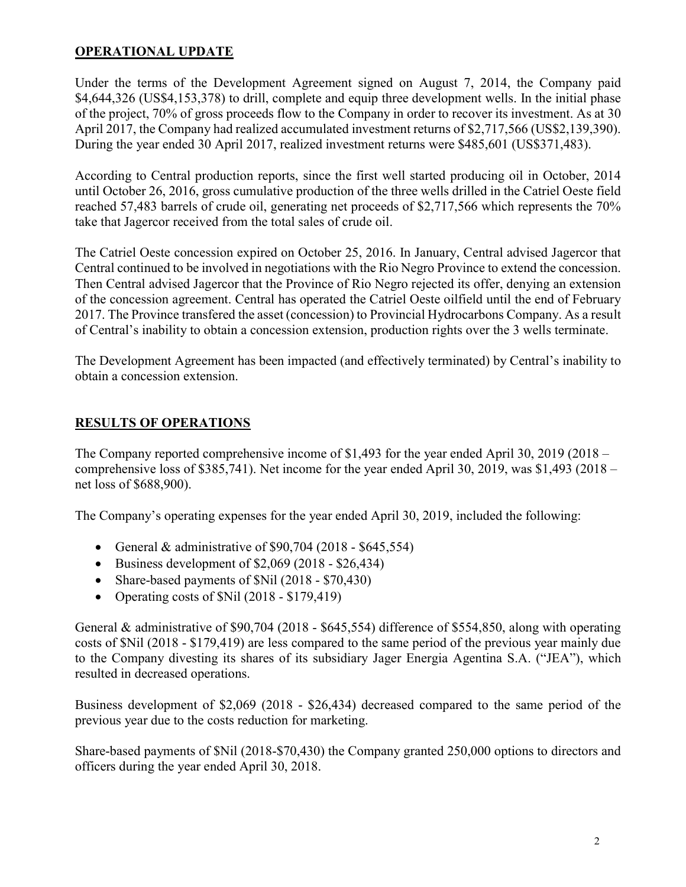# OPERATIONAL UPDATE

Under the terms of the Development Agreement signed on August 7, 2014, the Company paid \$4,644,326 (US\$4,153,378) to drill, complete and equip three development wells. In the initial phase of the project, 70% of gross proceeds flow to the Company in order to recover its investment. As at 30 April 2017, the Company had realized accumulated investment returns of \$2,717,566 (US\$2,139,390). During the year ended 30 April 2017, realized investment returns were \$485,601 (US\$371,483).

According to Central production reports, since the first well started producing oil in October, 2014 until October 26, 2016, gross cumulative production of the three wells drilled in the Catriel Oeste field reached 57,483 barrels of crude oil, generating net proceeds of \$2,717,566 which represents the 70% take that Jagercor received from the total sales of crude oil.

The Catriel Oeste concession expired on October 25, 2016. In January, Central advised Jagercor that Central continued to be involved in negotiations with the Rio Negro Province to extend the concession. Then Central advised Jagercor that the Province of Rio Negro rejected its offer, denying an extension of the concession agreement. Central has operated the Catriel Oeste oilfield until the end of February 2017. The Province transfered the asset (concession) to Provincial Hydrocarbons Company. As a result of Central's inability to obtain a concession extension, production rights over the 3 wells terminate.

The Development Agreement has been impacted (and effectively terminated) by Central's inability to obtain a concession extension.

# RESULTS OF OPERATIONS

The Company reported comprehensive income of \$1,493 for the year ended April 30, 2019 (2018 – comprehensive loss of \$385,741). Net income for the year ended April 30, 2019, was \$1,493 (2018 – net loss of \$688,900).

The Company's operating expenses for the year ended April 30, 2019, included the following:

- General & administrative of  $$90,704$  (2018  $$645,554$ )
- $\bullet$  Business development of \$2,069 (2018 \$26,434)
- Share-based payments of \$Nil (2018 \$70,430)
- Operating costs of  $Nil$  (2018 \$179,419)

General & administrative of \$90,704 (2018 - \$645,554) difference of \$554,850, along with operating costs of \$Nil (2018 - \$179,419) are less compared to the same period of the previous year mainly due to the Company divesting its shares of its subsidiary Jager Energia Agentina S.A. ("JEA"), which resulted in decreased operations.

Business development of \$2,069 (2018 - \$26,434) decreased compared to the same period of the previous year due to the costs reduction for marketing.

Share-based payments of \$Nil (2018-\$70,430) the Company granted 250,000 options to directors and officers during the year ended April 30, 2018.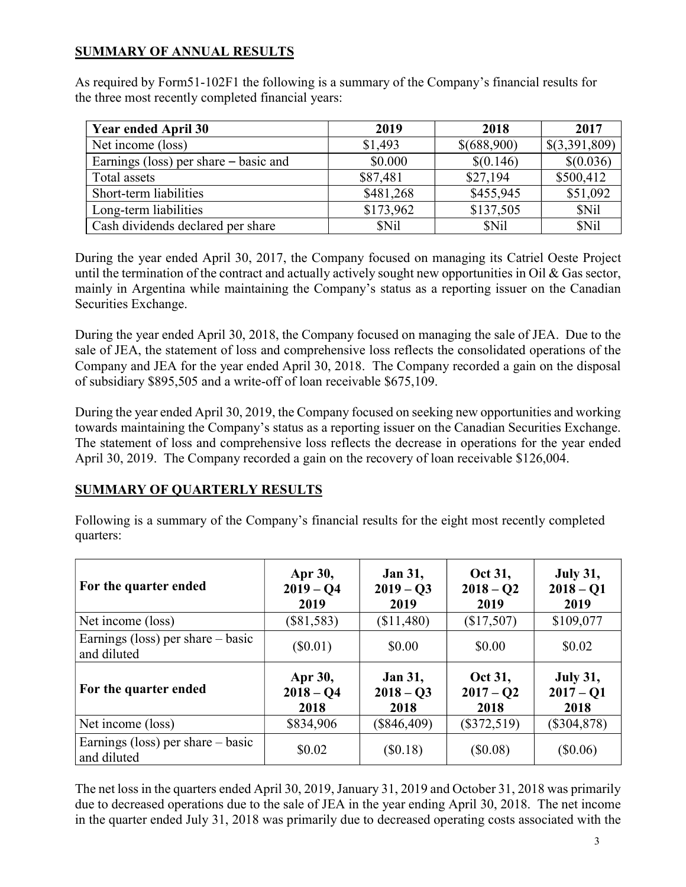# SUMMARY OF ANNUAL RESULTS

As required by Form51-102F1 the following is a summary of the Company's financial results for the three most recently completed financial years:

| <b>Year ended April 30</b>            | 2019      | 2018        | 2017          |
|---------------------------------------|-----------|-------------|---------------|
| Net income (loss)                     | \$1,493   | \$(688,900) | \$(3,391,809) |
| Earnings (loss) per share – basic and | \$0.000   | \$(0.146)   | \$(0.036)     |
| Total assets                          | \$87,481  | \$27,194    | \$500,412     |
| Short-term liabilities                | \$481,268 | \$455,945   | \$51,092      |
| Long-term liabilities                 | \$173,962 | \$137,505   | <b>SNil</b>   |
| Cash dividends declared per share     | \$Nil     | <b>SNil</b> | \$Nil         |

During the year ended April 30, 2017, the Company focused on managing its Catriel Oeste Project until the termination of the contract and actually actively sought new opportunities in Oil  $\&$  Gas sector, mainly in Argentina while maintaining the Company's status as a reporting issuer on the Canadian Securities Exchange.

During the year ended April 30, 2018, the Company focused on managing the sale of JEA. Due to the sale of JEA, the statement of loss and comprehensive loss reflects the consolidated operations of the Company and JEA for the year ended April 30, 2018. The Company recorded a gain on the disposal of subsidiary \$895,505 and a write-off of loan receivable \$675,109.

During the year ended April 30, 2019, the Company focused on seeking new opportunities and working towards maintaining the Company's status as a reporting issuer on the Canadian Securities Exchange. The statement of loss and comprehensive loss reflects the decrease in operations for the year ended April 30, 2019. The Company recorded a gain on the recovery of loan receivable \$126,004.

## SUMMARY OF QUARTERLY RESULTS

Following is a summary of the Company's financial results for the eight most recently completed quarters:

| For the quarter ended                              | Apr 30,<br>$2019 - Q4$<br>2019 | <b>Jan 31,</b><br>$2019 - Q3$<br>2019 | Oct 31,<br>$2018 - Q2$<br>2019 | <b>July 31,</b><br>$2018 - Q1$<br>2019 |
|----------------------------------------------------|--------------------------------|---------------------------------------|--------------------------------|----------------------------------------|
| Net income (loss)                                  | $(\$81,583)$                   | (\$11,480)                            | (\$17,507)                     | \$109,077                              |
| Earnings (loss) per share $-$ basic<br>and diluted | $(\$0.01)$                     | \$0.00                                | \$0.00                         | \$0.02                                 |
| For the quarter ended                              | Apr 30,<br>$2018 - Q4$<br>2018 | <b>Jan 31,</b><br>$2018 - Q3$<br>2018 | Oct 31,<br>$2017 - Q2$<br>2018 | <b>July 31,</b><br>$2017 - Q1$<br>2018 |
| Net income (loss)                                  | \$834,906                      | $(\$846,409)$                         | $(\$372,519)$                  | $(\$304,878)$                          |
| Earnings (loss) per share $-$ basic<br>and diluted | \$0.02                         | $(\$0.18)$                            | (\$0.08)                       | $(\$0.06)$                             |

The net loss in the quarters ended April 30, 2019, January 31, 2019 and October 31, 2018 was primarily due to decreased operations due to the sale of JEA in the year ending April 30, 2018. The net income in the quarter ended July 31, 2018 was primarily due to decreased operating costs associated with the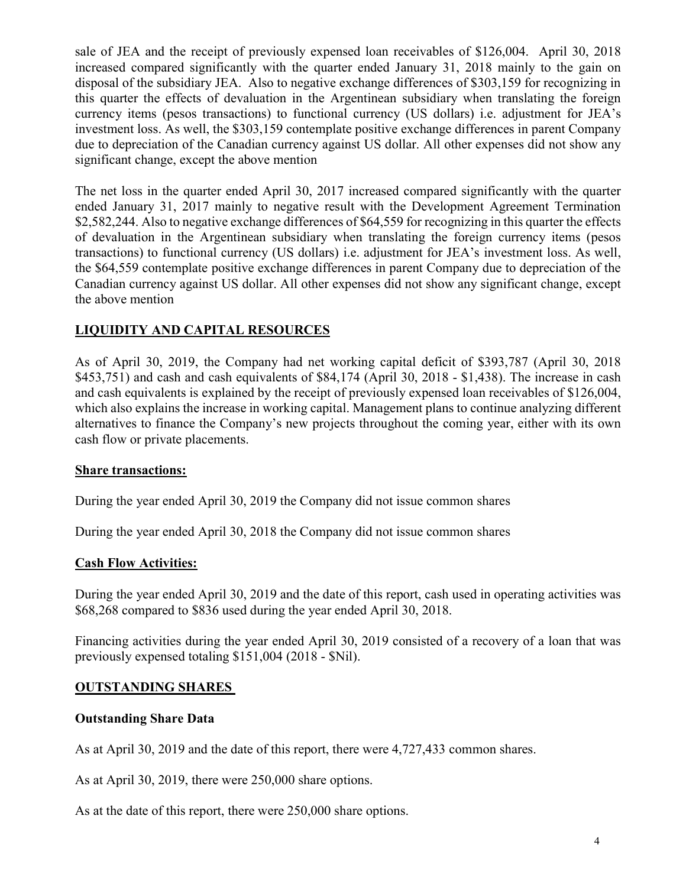sale of JEA and the receipt of previously expensed loan receivables of \$126,004. April 30, 2018 increased compared significantly with the quarter ended January 31, 2018 mainly to the gain on disposal of the subsidiary JEA. Also to negative exchange differences of \$303,159 for recognizing in this quarter the effects of devaluation in the Argentinean subsidiary when translating the foreign currency items (pesos transactions) to functional currency (US dollars) i.e. adjustment for JEA's investment loss. As well, the \$303,159 contemplate positive exchange differences in parent Company due to depreciation of the Canadian currency against US dollar. All other expenses did not show any significant change, except the above mention

The net loss in the quarter ended April 30, 2017 increased compared significantly with the quarter ended January 31, 2017 mainly to negative result with the Development Agreement Termination \$2,582,244. Also to negative exchange differences of \$64,559 for recognizing in this quarter the effects of devaluation in the Argentinean subsidiary when translating the foreign currency items (pesos transactions) to functional currency (US dollars) i.e. adjustment for JEA's investment loss. As well, the \$64,559 contemplate positive exchange differences in parent Company due to depreciation of the Canadian currency against US dollar. All other expenses did not show any significant change, except the above mention

# LIQUIDITY AND CAPITAL RESOURCES

As of April 30, 2019, the Company had net working capital deficit of \$393,787 (April 30, 2018 \$453,751) and cash and cash equivalents of \$84,174 (April 30, 2018 - \$1,438). The increase in cash and cash equivalents is explained by the receipt of previously expensed loan receivables of \$126,004, which also explains the increase in working capital. Management plans to continue analyzing different alternatives to finance the Company's new projects throughout the coming year, either with its own cash flow or private placements.

## **Share transactions:**

During the year ended April 30, 2019 the Company did not issue common shares

During the year ended April 30, 2018 the Company did not issue common shares

## Cash Flow Activities:

During the year ended April 30, 2019 and the date of this report, cash used in operating activities was \$68,268 compared to \$836 used during the year ended April 30, 2018.

Financing activities during the year ended April 30, 2019 consisted of a recovery of a loan that was previously expensed totaling \$151,004 (2018 - \$Nil).

## OUTSTANDING SHARES

## Outstanding Share Data

As at April 30, 2019 and the date of this report, there were 4,727,433 common shares.

As at April 30, 2019, there were 250,000 share options.

As at the date of this report, there were 250,000 share options.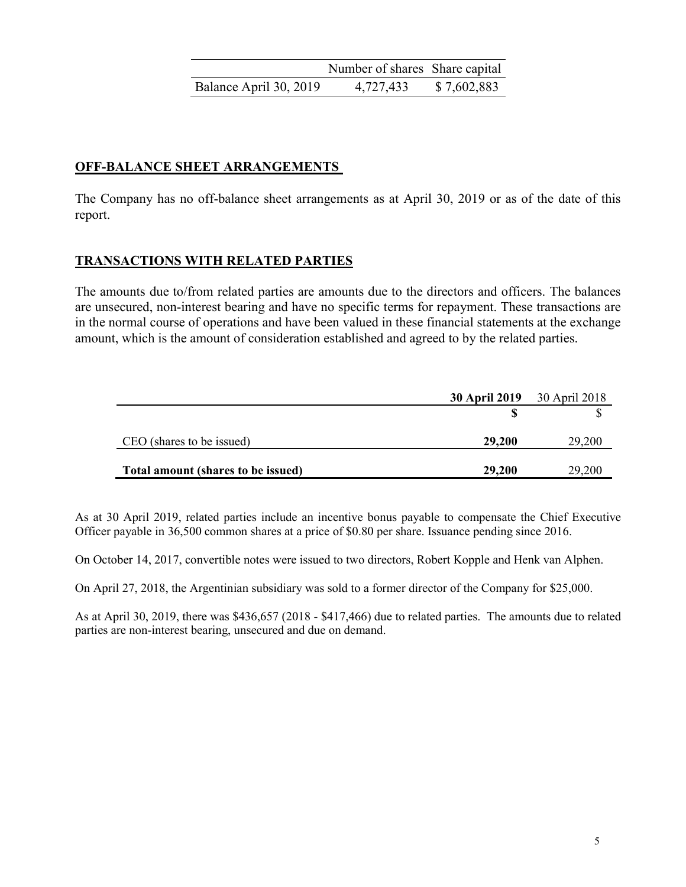|                        | Number of shares Share capital |             |
|------------------------|--------------------------------|-------------|
| Balance April 30, 2019 | 4,727,433                      | \$7,602,883 |

## OFF-BALANCE SHEET ARRANGEMENTS

The Company has no off-balance sheet arrangements as at April 30, 2019 or as of the date of this report.

## TRANSACTIONS WITH RELATED PARTIES

The amounts due to/from related parties are amounts due to the directors and officers. The balances are unsecured, non-interest bearing and have no specific terms for repayment. These transactions are in the normal course of operations and have been valued in these financial statements at the exchange amount, which is the amount of consideration established and agreed to by the related parties.

|                                    | <b>30 April 2019</b> 30 April 2018 |        |
|------------------------------------|------------------------------------|--------|
|                                    |                                    |        |
| CEO (shares to be issued)          | 29,200                             | 29,200 |
| Total amount (shares to be issued) | 29,200                             | 29,200 |

As at 30 April 2019, related parties include an incentive bonus payable to compensate the Chief Executive Officer payable in 36,500 common shares at a price of \$0.80 per share. Issuance pending since 2016.

On October 14, 2017, convertible notes were issued to two directors, Robert Kopple and Henk van Alphen.

On April 27, 2018, the Argentinian subsidiary was sold to a former director of the Company for \$25,000.

As at April 30, 2019, there was \$436,657 (2018 - \$417,466) due to related parties. The amounts due to related parties are non-interest bearing, unsecured and due on demand.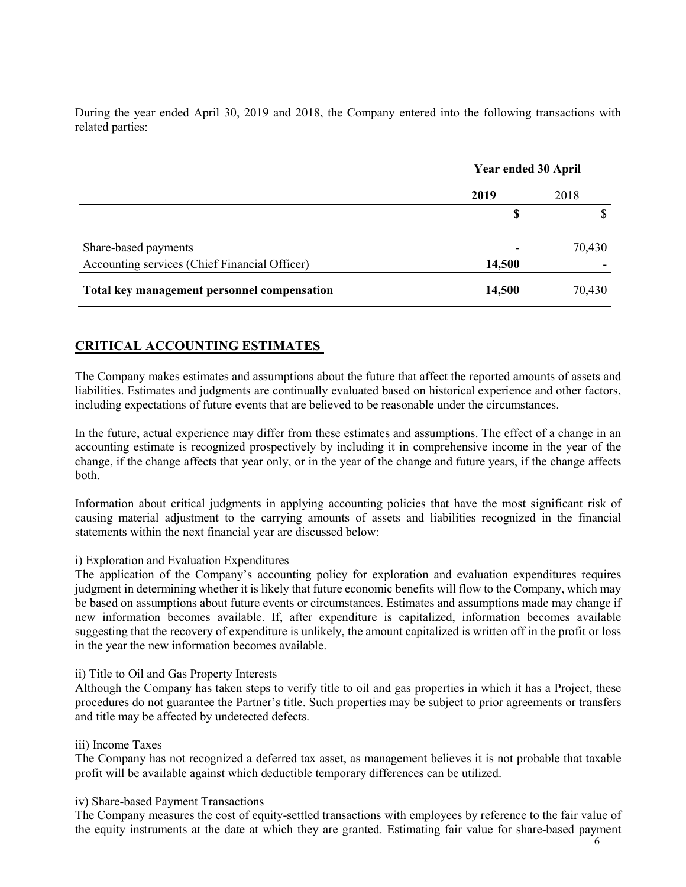During the year ended April 30, 2019 and 2018, the Company entered into the following transactions with related parties:

|                                               | <b>Year ended 30 April</b> |        |
|-----------------------------------------------|----------------------------|--------|
|                                               | 2019                       | 2018   |
|                                               | \$                         |        |
| Share-based payments                          |                            | 70,430 |
| Accounting services (Chief Financial Officer) | 14,500                     |        |
| Total key management personnel compensation   | 14,500                     | 70,430 |

## CRITICAL ACCOUNTING ESTIMATES

The Company makes estimates and assumptions about the future that affect the reported amounts of assets and liabilities. Estimates and judgments are continually evaluated based on historical experience and other factors, including expectations of future events that are believed to be reasonable under the circumstances.

In the future, actual experience may differ from these estimates and assumptions. The effect of a change in an accounting estimate is recognized prospectively by including it in comprehensive income in the year of the change, if the change affects that year only, or in the year of the change and future years, if the change affects both.

Information about critical judgments in applying accounting policies that have the most significant risk of causing material adjustment to the carrying amounts of assets and liabilities recognized in the financial statements within the next financial year are discussed below:

### i) Exploration and Evaluation Expenditures

The application of the Company's accounting policy for exploration and evaluation expenditures requires judgment in determining whether it is likely that future economic benefits will flow to the Company, which may be based on assumptions about future events or circumstances. Estimates and assumptions made may change if new information becomes available. If, after expenditure is capitalized, information becomes available suggesting that the recovery of expenditure is unlikely, the amount capitalized is written off in the profit or loss in the year the new information becomes available.

### ii) Title to Oil and Gas Property Interests

Although the Company has taken steps to verify title to oil and gas properties in which it has a Project, these procedures do not guarantee the Partner's title. Such properties may be subject to prior agreements or transfers and title may be affected by undetected defects.

### iii) Income Taxes

The Company has not recognized a deferred tax asset, as management believes it is not probable that taxable profit will be available against which deductible temporary differences can be utilized.

### iv) Share-based Payment Transactions

The Company measures the cost of equity-settled transactions with employees by reference to the fair value of the equity instruments at the date at which they are granted. Estimating fair value for share-based payment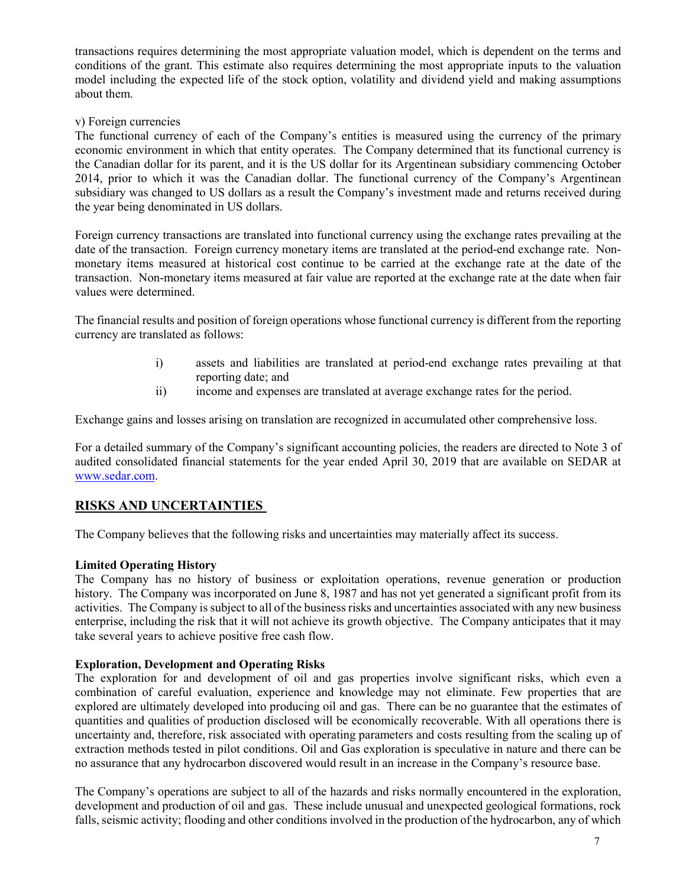transactions requires determining the most appropriate valuation model, which is dependent on the terms and conditions of the grant. This estimate also requires determining the most appropriate inputs to the valuation model including the expected life of the stock option, volatility and dividend yield and making assumptions about them.

### v) Foreign currencies

The functional currency of each of the Company's entities is measured using the currency of the primary economic environment in which that entity operates. The Company determined that its functional currency is the Canadian dollar for its parent, and it is the US dollar for its Argentinean subsidiary commencing October 2014, prior to which it was the Canadian dollar. The functional currency of the Company's Argentinean subsidiary was changed to US dollars as a result the Company's investment made and returns received during the year being denominated in US dollars.

Foreign currency transactions are translated into functional currency using the exchange rates prevailing at the date of the transaction. Foreign currency monetary items are translated at the period-end exchange rate. Nonmonetary items measured at historical cost continue to be carried at the exchange rate at the date of the transaction. Non-monetary items measured at fair value are reported at the exchange rate at the date when fair values were determined.

The financial results and position of foreign operations whose functional currency is different from the reporting currency are translated as follows:

- i) assets and liabilities are translated at period-end exchange rates prevailing at that reporting date; and
- ii) income and expenses are translated at average exchange rates for the period.

Exchange gains and losses arising on translation are recognized in accumulated other comprehensive loss.

For a detailed summary of the Company's significant accounting policies, the readers are directed to Note 3 of audited consolidated financial statements for the year ended April 30, 2019 that are available on SEDAR at www.sedar.com.

## RISKS AND UNCERTAINTIES

The Company believes that the following risks and uncertainties may materially affect its success.

### Limited Operating History

The Company has no history of business or exploitation operations, revenue generation or production history. The Company was incorporated on June 8, 1987 and has not yet generated a significant profit from its activities. The Company is subject to all of the business risks and uncertainties associated with any new business enterprise, including the risk that it will not achieve its growth objective. The Company anticipates that it may take several years to achieve positive free cash flow.

### Exploration, Development and Operating Risks

The exploration for and development of oil and gas properties involve significant risks, which even a combination of careful evaluation, experience and knowledge may not eliminate. Few properties that are explored are ultimately developed into producing oil and gas. There can be no guarantee that the estimates of quantities and qualities of production disclosed will be economically recoverable. With all operations there is uncertainty and, therefore, risk associated with operating parameters and costs resulting from the scaling up of extraction methods tested in pilot conditions. Oil and Gas exploration is speculative in nature and there can be no assurance that any hydrocarbon discovered would result in an increase in the Company's resource base.

The Company's operations are subject to all of the hazards and risks normally encountered in the exploration, development and production of oil and gas. These include unusual and unexpected geological formations, rock falls, seismic activity; flooding and other conditions involved in the production of the hydrocarbon, any of which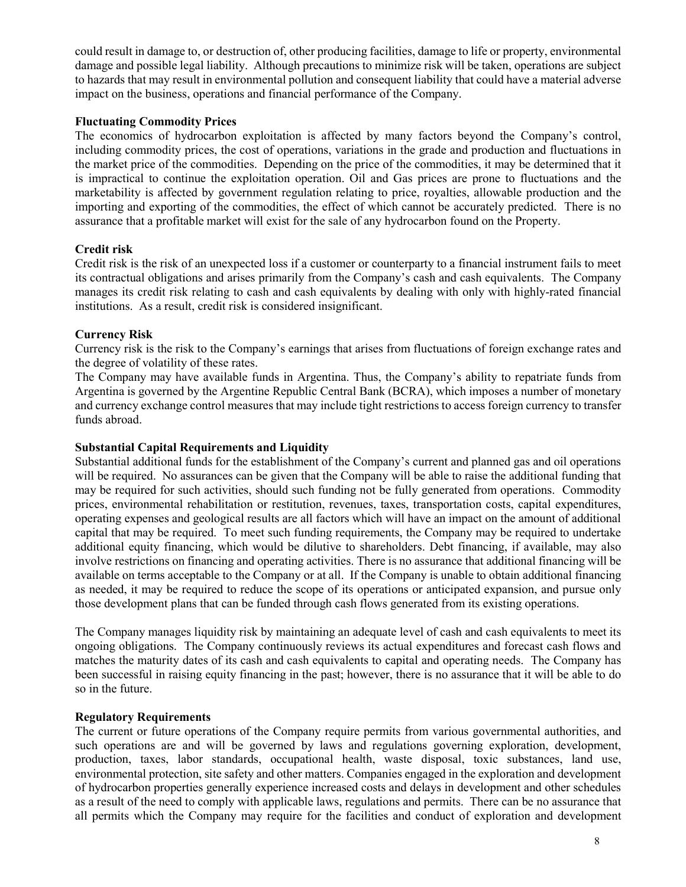could result in damage to, or destruction of, other producing facilities, damage to life or property, environmental damage and possible legal liability. Although precautions to minimize risk will be taken, operations are subject to hazards that may result in environmental pollution and consequent liability that could have a material adverse impact on the business, operations and financial performance of the Company.

### Fluctuating Commodity Prices

The economics of hydrocarbon exploitation is affected by many factors beyond the Company's control, including commodity prices, the cost of operations, variations in the grade and production and fluctuations in the market price of the commodities. Depending on the price of the commodities, it may be determined that it is impractical to continue the exploitation operation. Oil and Gas prices are prone to fluctuations and the marketability is affected by government regulation relating to price, royalties, allowable production and the importing and exporting of the commodities, the effect of which cannot be accurately predicted. There is no assurance that a profitable market will exist for the sale of any hydrocarbon found on the Property.

## Credit risk

Credit risk is the risk of an unexpected loss if a customer or counterparty to a financial instrument fails to meet its contractual obligations and arises primarily from the Company's cash and cash equivalents. The Company manages its credit risk relating to cash and cash equivalents by dealing with only with highly-rated financial institutions. As a result, credit risk is considered insignificant.

## Currency Risk

Currency risk is the risk to the Company's earnings that arises from fluctuations of foreign exchange rates and the degree of volatility of these rates.

The Company may have available funds in Argentina. Thus, the Company's ability to repatriate funds from Argentina is governed by the Argentine Republic Central Bank (BCRA), which imposes a number of monetary and currency exchange control measures that may include tight restrictions to access foreign currency to transfer funds abroad.

### Substantial Capital Requirements and Liquidity

Substantial additional funds for the establishment of the Company's current and planned gas and oil operations will be required. No assurances can be given that the Company will be able to raise the additional funding that may be required for such activities, should such funding not be fully generated from operations. Commodity prices, environmental rehabilitation or restitution, revenues, taxes, transportation costs, capital expenditures, operating expenses and geological results are all factors which will have an impact on the amount of additional capital that may be required. To meet such funding requirements, the Company may be required to undertake additional equity financing, which would be dilutive to shareholders. Debt financing, if available, may also involve restrictions on financing and operating activities. There is no assurance that additional financing will be available on terms acceptable to the Company or at all. If the Company is unable to obtain additional financing as needed, it may be required to reduce the scope of its operations or anticipated expansion, and pursue only those development plans that can be funded through cash flows generated from its existing operations.

The Company manages liquidity risk by maintaining an adequate level of cash and cash equivalents to meet its ongoing obligations. The Company continuously reviews its actual expenditures and forecast cash flows and matches the maturity dates of its cash and cash equivalents to capital and operating needs. The Company has been successful in raising equity financing in the past; however, there is no assurance that it will be able to do so in the future.

## Regulatory Requirements

The current or future operations of the Company require permits from various governmental authorities, and such operations are and will be governed by laws and regulations governing exploration, development, production, taxes, labor standards, occupational health, waste disposal, toxic substances, land use, environmental protection, site safety and other matters. Companies engaged in the exploration and development of hydrocarbon properties generally experience increased costs and delays in development and other schedules as a result of the need to comply with applicable laws, regulations and permits. There can be no assurance that all permits which the Company may require for the facilities and conduct of exploration and development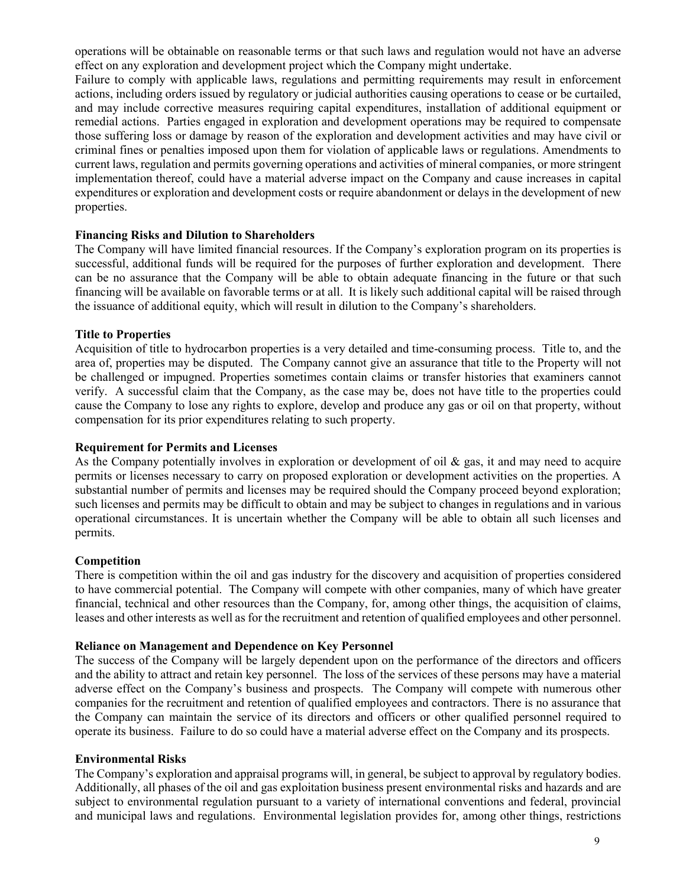operations will be obtainable on reasonable terms or that such laws and regulation would not have an adverse effect on any exploration and development project which the Company might undertake.

Failure to comply with applicable laws, regulations and permitting requirements may result in enforcement actions, including orders issued by regulatory or judicial authorities causing operations to cease or be curtailed, and may include corrective measures requiring capital expenditures, installation of additional equipment or remedial actions. Parties engaged in exploration and development operations may be required to compensate those suffering loss or damage by reason of the exploration and development activities and may have civil or criminal fines or penalties imposed upon them for violation of applicable laws or regulations. Amendments to current laws, regulation and permits governing operations and activities of mineral companies, or more stringent implementation thereof, could have a material adverse impact on the Company and cause increases in capital expenditures or exploration and development costs or require abandonment or delays in the development of new properties.

#### Financing Risks and Dilution to Shareholders

The Company will have limited financial resources. If the Company's exploration program on its properties is successful, additional funds will be required for the purposes of further exploration and development. There can be no assurance that the Company will be able to obtain adequate financing in the future or that such financing will be available on favorable terms or at all. It is likely such additional capital will be raised through the issuance of additional equity, which will result in dilution to the Company's shareholders.

#### Title to Properties

Acquisition of title to hydrocarbon properties is a very detailed and time-consuming process. Title to, and the area of, properties may be disputed. The Company cannot give an assurance that title to the Property will not be challenged or impugned. Properties sometimes contain claims or transfer histories that examiners cannot verify. A successful claim that the Company, as the case may be, does not have title to the properties could cause the Company to lose any rights to explore, develop and produce any gas or oil on that property, without compensation for its prior expenditures relating to such property.

#### Requirement for Permits and Licenses

As the Company potentially involves in exploration or development of oil & gas, it and may need to acquire permits or licenses necessary to carry on proposed exploration or development activities on the properties. A substantial number of permits and licenses may be required should the Company proceed beyond exploration; such licenses and permits may be difficult to obtain and may be subject to changes in regulations and in various operational circumstances. It is uncertain whether the Company will be able to obtain all such licenses and permits.

### Competition

There is competition within the oil and gas industry for the discovery and acquisition of properties considered to have commercial potential. The Company will compete with other companies, many of which have greater financial, technical and other resources than the Company, for, among other things, the acquisition of claims, leases and other interests as well as for the recruitment and retention of qualified employees and other personnel.

#### Reliance on Management and Dependence on Key Personnel

The success of the Company will be largely dependent upon on the performance of the directors and officers and the ability to attract and retain key personnel. The loss of the services of these persons may have a material adverse effect on the Company's business and prospects. The Company will compete with numerous other companies for the recruitment and retention of qualified employees and contractors. There is no assurance that the Company can maintain the service of its directors and officers or other qualified personnel required to operate its business. Failure to do so could have a material adverse effect on the Company and its prospects.

#### Environmental Risks

The Company's exploration and appraisal programs will, in general, be subject to approval by regulatory bodies. Additionally, all phases of the oil and gas exploitation business present environmental risks and hazards and are subject to environmental regulation pursuant to a variety of international conventions and federal, provincial and municipal laws and regulations. Environmental legislation provides for, among other things, restrictions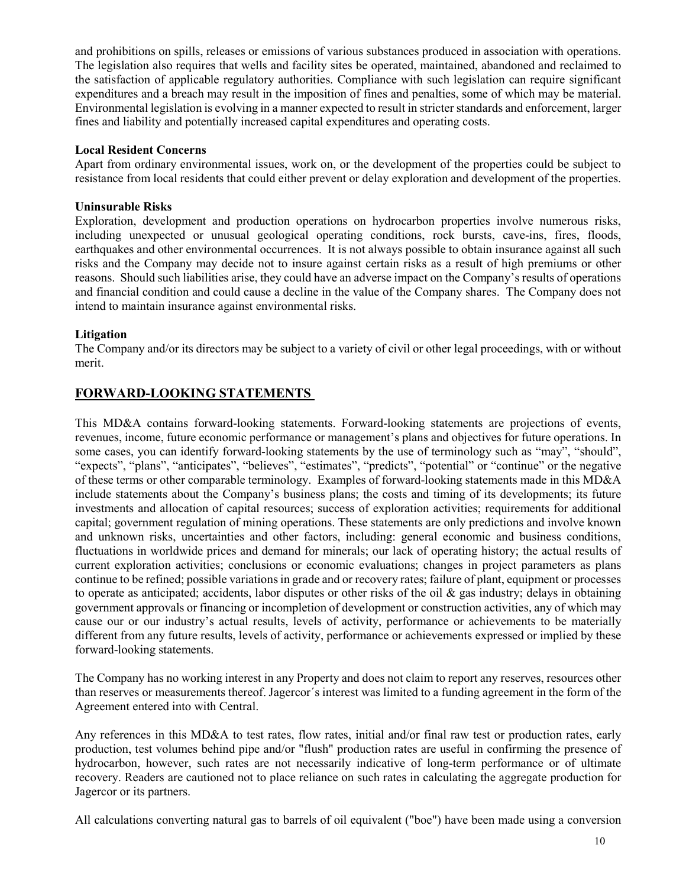and prohibitions on spills, releases or emissions of various substances produced in association with operations. The legislation also requires that wells and facility sites be operated, maintained, abandoned and reclaimed to the satisfaction of applicable regulatory authorities. Compliance with such legislation can require significant expenditures and a breach may result in the imposition of fines and penalties, some of which may be material. Environmental legislation is evolving in a manner expected to result in stricter standards and enforcement, larger fines and liability and potentially increased capital expenditures and operating costs.

### Local Resident Concerns

Apart from ordinary environmental issues, work on, or the development of the properties could be subject to resistance from local residents that could either prevent or delay exploration and development of the properties.

## Uninsurable Risks

Exploration, development and production operations on hydrocarbon properties involve numerous risks, including unexpected or unusual geological operating conditions, rock bursts, cave-ins, fires, floods, earthquakes and other environmental occurrences. It is not always possible to obtain insurance against all such risks and the Company may decide not to insure against certain risks as a result of high premiums or other reasons. Should such liabilities arise, they could have an adverse impact on the Company's results of operations and financial condition and could cause a decline in the value of the Company shares. The Company does not intend to maintain insurance against environmental risks.

## Litigation

The Company and/or its directors may be subject to a variety of civil or other legal proceedings, with or without merit.

## FORWARD-LOOKING STATEMENTS

This MD&A contains forward-looking statements. Forward-looking statements are projections of events, revenues, income, future economic performance or management's plans and objectives for future operations. In some cases, you can identify forward-looking statements by the use of terminology such as "may", "should", "expects", "plans", "anticipates", "believes", "estimates", "predicts", "potential" or "continue" or the negative of these terms or other comparable terminology. Examples of forward-looking statements made in this MD&A include statements about the Company's business plans; the costs and timing of its developments; its future investments and allocation of capital resources; success of exploration activities; requirements for additional capital; government regulation of mining operations. These statements are only predictions and involve known and unknown risks, uncertainties and other factors, including: general economic and business conditions, fluctuations in worldwide prices and demand for minerals; our lack of operating history; the actual results of current exploration activities; conclusions or economic evaluations; changes in project parameters as plans continue to be refined; possible variations in grade and or recovery rates; failure of plant, equipment or processes to operate as anticipated; accidents, labor disputes or other risks of the oil  $\&$  gas industry; delays in obtaining government approvals or financing or incompletion of development or construction activities, any of which may cause our or our industry's actual results, levels of activity, performance or achievements to be materially different from any future results, levels of activity, performance or achievements expressed or implied by these forward-looking statements.

The Company has no working interest in any Property and does not claim to report any reserves, resources other than reserves or measurements thereof. Jagercor´s interest was limited to a funding agreement in the form of the Agreement entered into with Central.

Any references in this MD&A to test rates, flow rates, initial and/or final raw test or production rates, early production, test volumes behind pipe and/or "flush" production rates are useful in confirming the presence of hydrocarbon, however, such rates are not necessarily indicative of long-term performance or of ultimate recovery. Readers are cautioned not to place reliance on such rates in calculating the aggregate production for Jagercor or its partners.

All calculations converting natural gas to barrels of oil equivalent ("boe") have been made using a conversion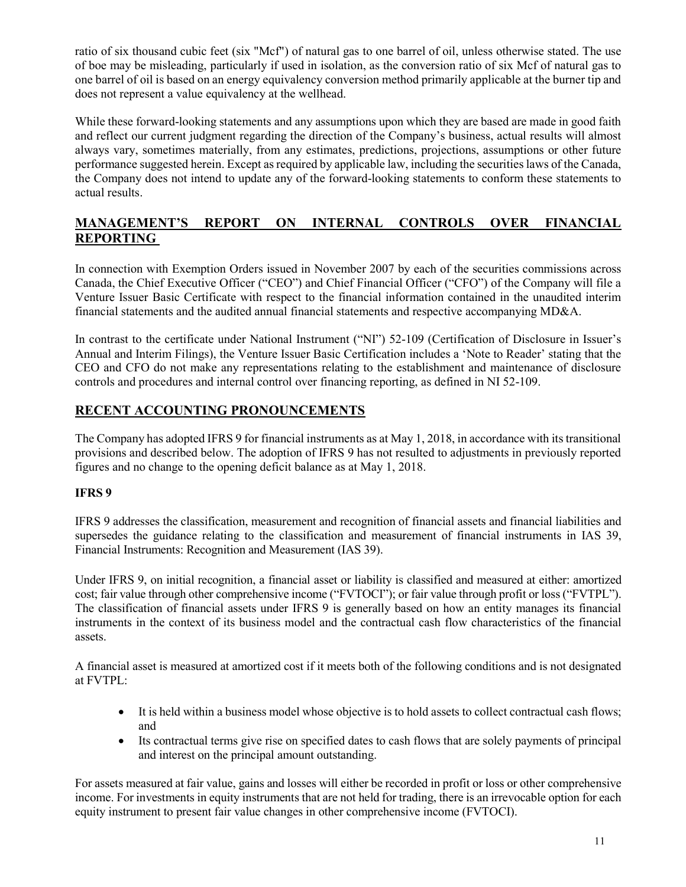ratio of six thousand cubic feet (six "Mcf") of natural gas to one barrel of oil, unless otherwise stated. The use of boe may be misleading, particularly if used in isolation, as the conversion ratio of six Mcf of natural gas to one barrel of oil is based on an energy equivalency conversion method primarily applicable at the burner tip and does not represent a value equivalency at the wellhead.

While these forward-looking statements and any assumptions upon which they are based are made in good faith and reflect our current judgment regarding the direction of the Company's business, actual results will almost always vary, sometimes materially, from any estimates, predictions, projections, assumptions or other future performance suggested herein. Except as required by applicable law, including the securities laws of the Canada, the Company does not intend to update any of the forward-looking statements to conform these statements to actual results.

## MANAGEMENT'S REPORT ON INTERNAL CONTROLS OVER FINANCIAL REPORTING

In connection with Exemption Orders issued in November 2007 by each of the securities commissions across Canada, the Chief Executive Officer ("CEO") and Chief Financial Officer ("CFO") of the Company will file a Venture Issuer Basic Certificate with respect to the financial information contained in the unaudited interim financial statements and the audited annual financial statements and respective accompanying MD&A.

In contrast to the certificate under National Instrument ("NI") 52-109 (Certification of Disclosure in Issuer's Annual and Interim Filings), the Venture Issuer Basic Certification includes a 'Note to Reader' stating that the CEO and CFO do not make any representations relating to the establishment and maintenance of disclosure controls and procedures and internal control over financing reporting, as defined in NI 52-109.

## RECENT ACCOUNTING PRONOUNCEMENTS

The Company has adopted IFRS 9 for financial instruments as at May 1, 2018, in accordance with its transitional provisions and described below. The adoption of IFRS 9 has not resulted to adjustments in previously reported figures and no change to the opening deficit balance as at May 1, 2018.

## IFRS 9

IFRS 9 addresses the classification, measurement and recognition of financial assets and financial liabilities and supersedes the guidance relating to the classification and measurement of financial instruments in IAS 39, Financial Instruments: Recognition and Measurement (IAS 39).

Under IFRS 9, on initial recognition, a financial asset or liability is classified and measured at either: amortized cost; fair value through other comprehensive income ("FVTOCI"); or fair value through profit or loss ("FVTPL"). The classification of financial assets under IFRS 9 is generally based on how an entity manages its financial instruments in the context of its business model and the contractual cash flow characteristics of the financial assets.

A financial asset is measured at amortized cost if it meets both of the following conditions and is not designated at FVTPL:

- It is held within a business model whose objective is to hold assets to collect contractual cash flows; and
- Its contractual terms give rise on specified dates to cash flows that are solely payments of principal and interest on the principal amount outstanding.

For assets measured at fair value, gains and losses will either be recorded in profit or loss or other comprehensive income. For investments in equity instruments that are not held for trading, there is an irrevocable option for each equity instrument to present fair value changes in other comprehensive income (FVTOCI).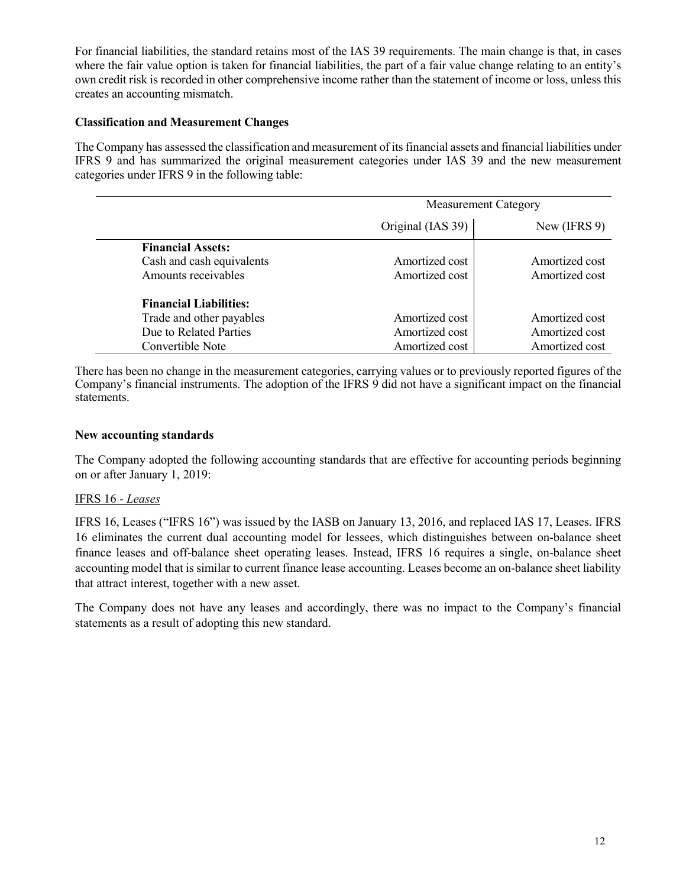For financial liabilities, the standard retains most of the IAS 39 requirements. The main change is that, in cases where the fair value option is taken for financial liabilities, the part of a fair value change relating to an entity's own credit risk is recorded in other comprehensive income rather than the statement of income or loss, unless this creates an accounting mismatch.

### Classification and Measurement Changes

The Company has assessed the classification and measurement of its financial assets and financial liabilities under IFRS 9 and has summarized the original measurement categories under IAS 39 and the new measurement categories under IFRS 9 in the following table:

|                               | <b>Measurement Category</b> |                |  |
|-------------------------------|-----------------------------|----------------|--|
|                               | Original (IAS 39)           | New (IFRS 9)   |  |
| <b>Financial Assets:</b>      |                             |                |  |
| Cash and cash equivalents     | Amortized cost              | Amortized cost |  |
| Amounts receivables           | Amortized cost              | Amortized cost |  |
| <b>Financial Liabilities:</b> |                             |                |  |
| Trade and other payables      | Amortized cost              | Amortized cost |  |
| Due to Related Parties        | Amortized cost              | Amortized cost |  |
| Convertible Note              | Amortized cost              | Amortized cost |  |

There has been no change in the measurement categories, carrying values or to previously reported figures of the Company's financial instruments. The adoption of the IFRS 9 did not have a significant impact on the financial statements.

## New accounting standards

The Company adopted the following accounting standards that are effective for accounting periods beginning on or after January 1, 2019:

### IFRS 16 - Leases

IFRS 16, Leases ("IFRS 16") was issued by the IASB on January 13, 2016, and replaced IAS 17, Leases. IFRS 16 eliminates the current dual accounting model for lessees, which distinguishes between on-balance sheet finance leases and off-balance sheet operating leases. Instead, IFRS 16 requires a single, on-balance sheet accounting model that is similar to current finance lease accounting. Leases become an on-balance sheet liability that attract interest, together with a new asset.

The Company does not have any leases and accordingly, there was no impact to the Company's financial statements as a result of adopting this new standard.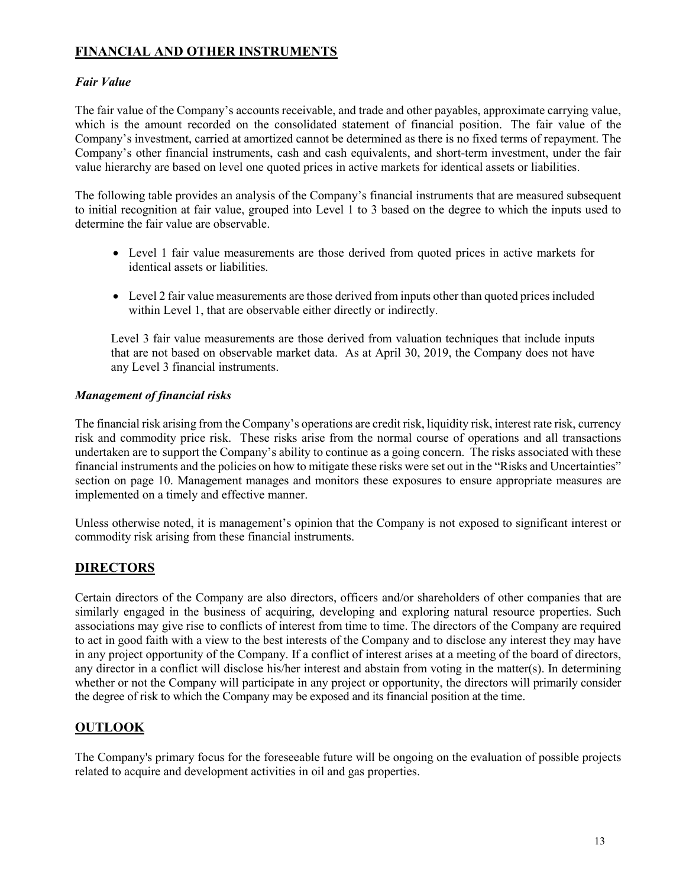# FINANCIAL AND OTHER INSTRUMENTS

## Fair Value

The fair value of the Company's accounts receivable, and trade and other payables, approximate carrying value, which is the amount recorded on the consolidated statement of financial position. The fair value of the Company's investment, carried at amortized cannot be determined as there is no fixed terms of repayment. The Company's other financial instruments, cash and cash equivalents, and short-term investment, under the fair value hierarchy are based on level one quoted prices in active markets for identical assets or liabilities.

The following table provides an analysis of the Company's financial instruments that are measured subsequent to initial recognition at fair value, grouped into Level 1 to 3 based on the degree to which the inputs used to determine the fair value are observable.

- Level 1 fair value measurements are those derived from quoted prices in active markets for identical assets or liabilities.
- Level 2 fair value measurements are those derived from inputs other than quoted prices included within Level 1, that are observable either directly or indirectly.

Level 3 fair value measurements are those derived from valuation techniques that include inputs that are not based on observable market data. As at April 30, 2019, the Company does not have any Level 3 financial instruments.

## Management of financial risks

The financial risk arising from the Company's operations are credit risk, liquidity risk, interest rate risk, currency risk and commodity price risk. These risks arise from the normal course of operations and all transactions undertaken are to support the Company's ability to continue as a going concern. The risks associated with these financial instruments and the policies on how to mitigate these risks were set out in the "Risks and Uncertainties" section on page 10. Management manages and monitors these exposures to ensure appropriate measures are implemented on a timely and effective manner.

Unless otherwise noted, it is management's opinion that the Company is not exposed to significant interest or commodity risk arising from these financial instruments.

## **DIRECTORS**

Certain directors of the Company are also directors, officers and/or shareholders of other companies that are similarly engaged in the business of acquiring, developing and exploring natural resource properties. Such associations may give rise to conflicts of interest from time to time. The directors of the Company are required to act in good faith with a view to the best interests of the Company and to disclose any interest they may have in any project opportunity of the Company. If a conflict of interest arises at a meeting of the board of directors, any director in a conflict will disclose his/her interest and abstain from voting in the matter(s). In determining whether or not the Company will participate in any project or opportunity, the directors will primarily consider the degree of risk to which the Company may be exposed and its financial position at the time.

## **OUTLOOK**

The Company's primary focus for the foreseeable future will be ongoing on the evaluation of possible projects related to acquire and development activities in oil and gas properties.